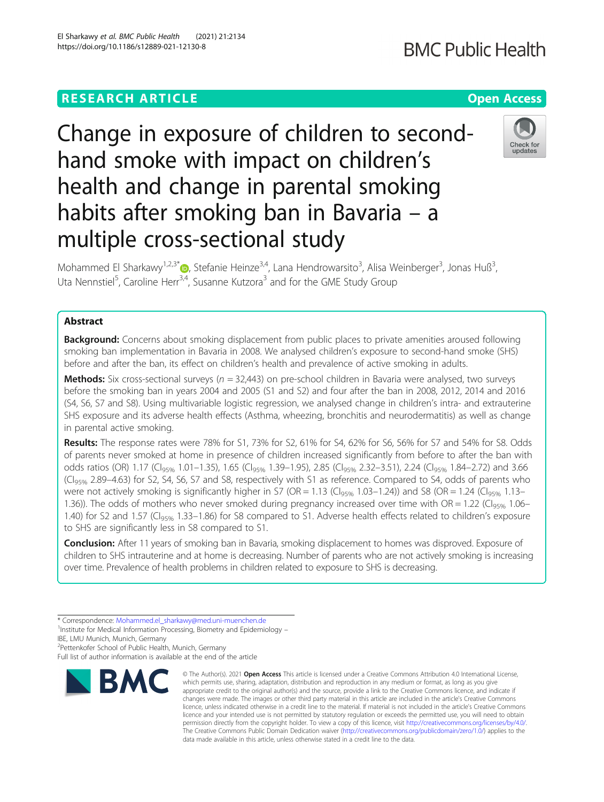# **RESEARCH ARTICLE Example 2014 12:30 The Contract of Contract ACCESS**

# Change in exposure of children to secondhand smoke with impact on children's health and change in parental smoking habits after smoking ban in Bavaria – a multiple cross-sectional study

Mohammed El Sharkawy<sup>1,2,3\*</sup> $\bullet$ , Stefanie Heinze<sup>3,4</sup>, Lana Hendrowarsito<sup>3</sup>, Alisa Weinberger<sup>3</sup>, Jonas Huß<sup>3</sup> , Uta Nennstiel<sup>5</sup>, Caroline Herr<sup>3,4</sup>, Susanne Kutzora<sup>3</sup> and for the GME Study Group

## Abstract

**Background:** Concerns about smoking displacement from public places to private amenities aroused following smoking ban implementation in Bavaria in 2008. We analysed children's exposure to second-hand smoke (SHS) before and after the ban, its effect on children's health and prevalence of active smoking in adults.

**Methods:** Six cross-sectional surveys ( $n = 32,443$ ) on pre-school children in Bavaria were analysed, two surveys before the smoking ban in years 2004 and 2005 (S1 and S2) and four after the ban in 2008, 2012, 2014 and 2016 (S4, S6, S7 and S8). Using multivariable logistic regression, we analysed change in children's intra- and extrauterine SHS exposure and its adverse health effects (Asthma, wheezing, bronchitis and neurodermatitis) as well as change in parental active smoking.

Results: The response rates were 78% for S1, 73% for S2, 61% for S4, 62% for S6, 56% for S7 and 54% for S8. Odds of parents never smoked at home in presence of children increased significantly from before to after the ban with odds ratios (OR) 1.17 (Cl<sub>95%</sub> 1.01–1.35), 1.65 (Cl<sub>95%</sub> 1.39–1.95), 2.85 (Cl<sub>95%</sub> 2.32–3.51), 2.24 (Cl<sub>95%</sub> 1.84–2.72) and 3.66 (CI95% 2.89–4.63) for S2, S4, S6, S7 and S8, respectively with S1 as reference. Compared to S4, odds of parents who were not actively smoking is significantly higher in S7 (OR = 1.13 (Cl<sub>95%</sub> 1.03–1.24)) and S8 (OR = 1.24 (Cl<sub>95%</sub> 1.13– 1.36)). The odds of mothers who never smoked during pregnancy increased over time with OR = 1.22 (C $\overline{C}$ I.06– 1.40) for S2 and 1.57 (CI<sub>95%</sub> 1.33–1.86) for S8 compared to S1. Adverse health effects related to children's exposure to SHS are significantly less in S8 compared to S1.

Conclusion: After 11 years of smoking ban in Bavaria, smoking displacement to homes was disproved. Exposure of children to SHS intrauterine and at home is decreasing. Number of parents who are not actively smoking is increasing over time. Prevalence of health problems in children related to exposure to SHS is decreasing.

IBE, LMU Munich, Munich, Germany

2 Pettenkofer School of Public Health, Munich, Germany

Full list of author information is available at the end of the article

## El Sharkawy et al. BMC Public Health (2021) 21:2134 https://doi.org/10.1186/s12889-021-12130-8

which permits use, sharing, adaptation, distribution and reproduction in any medium or format, as long as you give appropriate credit to the original author(s) and the source, provide a link to the Creative Commons licence, and indicate if changes were made. The images or other third party material in this article are included in the article's Creative Commons licence, unless indicated otherwise in a credit line to the material. If material is not included in the article's Creative Commons licence and your intended use is not permitted by statutory regulation or exceeds the permitted use, you will need to obtain permission directly from the copyright holder. To view a copy of this licence, visit [http://creativecommons.org/licenses/by/4.0/.](http://creativecommons.org/licenses/by/4.0/) The Creative Commons Public Domain Dedication waiver [\(http://creativecommons.org/publicdomain/zero/1.0/](http://creativecommons.org/publicdomain/zero/1.0/)) applies to the data made available in this article, unless otherwise stated in a credit line to the data.

© The Author(s), 2021 **Open Access** This article is licensed under a Creative Commons Attribution 4.0 International License,

Check for undates





<sup>\*</sup> Correspondence: [Mohammed.el\\_sharkawy@med.uni-muenchen.de](mailto:Mohammed.el_sharkawy@med.uni-muenchen.de) <sup>1</sup>

<sup>&</sup>lt;sup>1</sup>Institute for Medical Information Processing, Biometry and Epidemiology -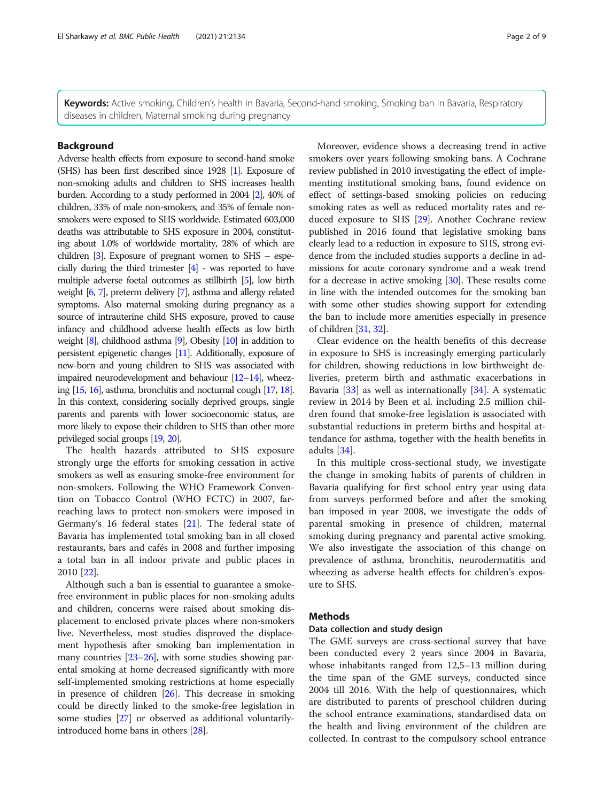<span id="page-1-0"></span>Keywords: Active smoking, Children's health in Bavaria, Second-hand smoking, Smoking ban in Bavaria, Respiratory diseases in children, Maternal smoking during pregnancy

## Background

Adverse health effects from exposure to second-hand smoke (SHS) has been first described since 1928 [\[1](#page-7-0)]. Exposure of non-smoking adults and children to SHS increases health burden. According to a study performed in 2004 [[2](#page-7-0)], 40% of children, 33% of male non-smokers, and 35% of female nonsmokers were exposed to SHS worldwide. Estimated 603,000 deaths was attributable to SHS exposure in 2004, constituting about 1.0% of worldwide mortality, 28% of which are children [[3](#page-7-0)]. Exposure of pregnant women to SHS – especially during the third trimester [\[4\]](#page-7-0) - was reported to have multiple adverse foetal outcomes as stillbirth [\[5](#page-7-0)], low birth weight [[6](#page-7-0), [7\]](#page-7-0), preterm delivery [[7](#page-7-0)], asthma and allergy related symptoms. Also maternal smoking during pregnancy as a source of intrauterine child SHS exposure, proved to cause infancy and childhood adverse health effects as low birth weight [\[8\]](#page-7-0), childhood asthma [\[9\]](#page-7-0), Obesity [\[10\]](#page-7-0) in addition to persistent epigenetic changes [\[11\]](#page-7-0). Additionally, exposure of new-born and young children to SHS was associated with impaired neurodevelopment and behaviour [\[12](#page-7-0)–[14](#page-7-0)], wheezing [\[15](#page-7-0), [16](#page-8-0)], asthma, bronchitis and nocturnal cough [[17,](#page-8-0) [18\]](#page-8-0). In this context, considering socially deprived groups, single parents and parents with lower socioeconomic status, are more likely to expose their children to SHS than other more privileged social groups [\[19](#page-8-0), [20](#page-8-0)].

The health hazards attributed to SHS exposure strongly urge the efforts for smoking cessation in active smokers as well as ensuring smoke-free environment for non-smokers. Following the WHO Framework Convention on Tobacco Control (WHO FCTC) in 2007, farreaching laws to protect non-smokers were imposed in Germany's 16 federal states [\[21\]](#page-8-0). The federal state of Bavaria has implemented total smoking ban in all closed restaurants, bars and cafés in 2008 and further imposing a total ban in all indoor private and public places in 2010 [\[22](#page-8-0)].

Although such a ban is essential to guarantee a smokefree environment in public places for non-smoking adults and children, concerns were raised about smoking displacement to enclosed private places where non-smokers live. Nevertheless, most studies disproved the displacement hypothesis after smoking ban implementation in many countries  $[23-26]$  $[23-26]$  $[23-26]$  $[23-26]$ , with some studies showing parental smoking at home decreased significantly with more self-implemented smoking restrictions at home especially in presence of children [[26](#page-8-0)]. This decrease in smoking could be directly linked to the smoke-free legislation in some studies [\[27](#page-8-0)] or observed as additional voluntarilyintroduced home bans in others [\[28\]](#page-8-0).

Moreover, evidence shows a decreasing trend in active smokers over years following smoking bans. A Cochrane review published in 2010 investigating the effect of implementing institutional smoking bans, found evidence on effect of settings-based smoking policies on reducing smoking rates as well as reduced mortality rates and reduced exposure to SHS [[29\]](#page-8-0). Another Cochrane review published in 2016 found that legislative smoking bans clearly lead to a reduction in exposure to SHS, strong evidence from the included studies supports a decline in admissions for acute coronary syndrome and a weak trend for a decrease in active smoking [\[30\]](#page-8-0). These results come in line with the intended outcomes for the smoking ban with some other studies showing support for extending the ban to include more amenities especially in presence of children [[31](#page-8-0), [32\]](#page-8-0).

Clear evidence on the health benefits of this decrease in exposure to SHS is increasingly emerging particularly for children, showing reductions in low birthweight deliveries, preterm birth and asthmatic exacerbations in Bavaria [\[33](#page-8-0)] as well as internationally [\[34\]](#page-8-0). A systematic review in 2014 by Been et al. including 2.5 million children found that smoke-free legislation is associated with substantial reductions in preterm births and hospital attendance for asthma, together with the health benefits in adults [\[34](#page-8-0)].

In this multiple cross-sectional study, we investigate the change in smoking habits of parents of children in Bavaria qualifying for first school entry year using data from surveys performed before and after the smoking ban imposed in year 2008, we investigate the odds of parental smoking in presence of children, maternal smoking during pregnancy and parental active smoking. We also investigate the association of this change on prevalence of asthma, bronchitis, neurodermatitis and wheezing as adverse health effects for children's exposure to SHS.

## **Methods**

## Data collection and study design

The GME surveys are cross-sectional survey that have been conducted every 2 years since 2004 in Bavaria, whose inhabitants ranged from 12,5–13 million during the time span of the GME surveys, conducted since 2004 till 2016. With the help of questionnaires, which are distributed to parents of preschool children during the school entrance examinations, standardised data on the health and living environment of the children are collected. In contrast to the compulsory school entrance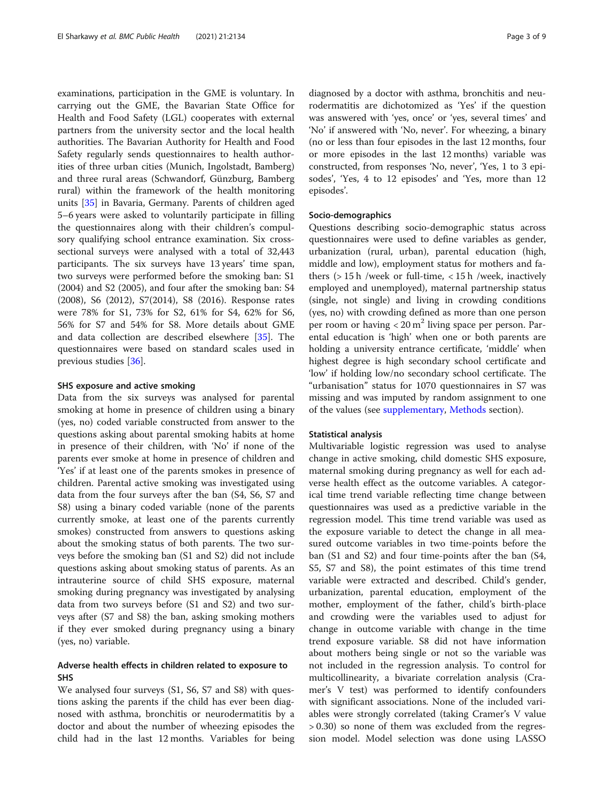examinations, participation in the GME is voluntary. In carrying out the GME, the Bavarian State Office for Health and Food Safety (LGL) cooperates with external partners from the university sector and the local health authorities. The Bavarian Authority for Health and Food Safety regularly sends questionnaires to health authorities of three urban cities (Munich, Ingolstadt, Bamberg) and three rural areas (Schwandorf, Günzburg, Bamberg rural) within the framework of the health monitoring units [[35](#page-8-0)] in Bavaria, Germany. Parents of children aged 5–6 years were asked to voluntarily participate in filling the questionnaires along with their children's compulsory qualifying school entrance examination. Six crosssectional surveys were analysed with a total of 32,443 participants. The six surveys have 13 years' time span, two surveys were performed before the smoking ban: S1 (2004) and S2 (2005), and four after the smoking ban: S4 (2008), S6 (2012), S7(2014), S8 (2016). Response rates were 78% for S1, 73% for S2, 61% for S4, 62% for S6, 56% for S7 and 54% for S8. More details about GME and data collection are described elsewhere [[35\]](#page-8-0). The questionnaires were based on standard scales used in previous studies [[36](#page-8-0)].

## SHS exposure and active smoking

Data from the six surveys was analysed for parental smoking at home in presence of children using a binary (yes, no) coded variable constructed from answer to the questions asking about parental smoking habits at home in presence of their children, with 'No' if none of the parents ever smoke at home in presence of children and 'Yes' if at least one of the parents smokes in presence of children. Parental active smoking was investigated using data from the four surveys after the ban (S4, S6, S7 and S8) using a binary coded variable (none of the parents currently smoke, at least one of the parents currently smokes) constructed from answers to questions asking about the smoking status of both parents. The two surveys before the smoking ban (S1 and S2) did not include questions asking about smoking status of parents. As an intrauterine source of child SHS exposure, maternal smoking during pregnancy was investigated by analysing data from two surveys before (S1 and S2) and two surveys after (S7 and S8) the ban, asking smoking mothers if they ever smoked during pregnancy using a binary (yes, no) variable.

## Adverse health effects in children related to exposure to SHS

We analysed four surveys (S1, S6, S7 and S8) with questions asking the parents if the child has ever been diagnosed with asthma, bronchitis or neurodermatitis by a doctor and about the number of wheezing episodes the child had in the last 12 months. Variables for being

diagnosed by a doctor with asthma, bronchitis and neurodermatitis are dichotomized as 'Yes' if the question was answered with 'yes, once' or 'yes, several times' and 'No' if answered with 'No, never'. For wheezing, a binary (no or less than four episodes in the last 12 months, four or more episodes in the last 12 months) variable was constructed, from responses 'No, never', 'Yes, 1 to 3 episodes', 'Yes, 4 to 12 episodes' and 'Yes, more than 12 episodes'.

## Socio-demographics

Questions describing socio-demographic status across questionnaires were used to define variables as gender, urbanization (rural, urban), parental education (high, middle and low), employment status for mothers and fathers (> 15 h /week or full-time, < 15 h /week, inactively employed and unemployed), maternal partnership status (single, not single) and living in crowding conditions (yes, no) with crowding defined as more than one person per room or having  $< 20 \text{ m}^2$  living space per person. Parental education is 'high' when one or both parents are holding a university entrance certificate, 'middle' when highest degree is high secondary school certificate and 'low' if holding low/no secondary school certificate. The "urbanisation" status for 1070 questionnaires in S7 was missing and was imputed by random assignment to one of the values (see [supplementary](#page-7-0), [Methods](#page-1-0) section).

#### Statistical analysis

Multivariable logistic regression was used to analyse change in active smoking, child domestic SHS exposure, maternal smoking during pregnancy as well for each adverse health effect as the outcome variables. A categorical time trend variable reflecting time change between questionnaires was used as a predictive variable in the regression model. This time trend variable was used as the exposure variable to detect the change in all measured outcome variables in two time-points before the ban (S1 and S2) and four time-points after the ban (S4, S5, S7 and S8), the point estimates of this time trend variable were extracted and described. Child's gender, urbanization, parental education, employment of the mother, employment of the father, child's birth-place and crowding were the variables used to adjust for change in outcome variable with change in the time trend exposure variable. S8 did not have information about mothers being single or not so the variable was not included in the regression analysis. To control for multicollinearity, a bivariate correlation analysis (Cramer's V test) was performed to identify confounders with significant associations. None of the included variables were strongly correlated (taking Cramer's V value > 0.30) so none of them was excluded from the regression model. Model selection was done using LASSO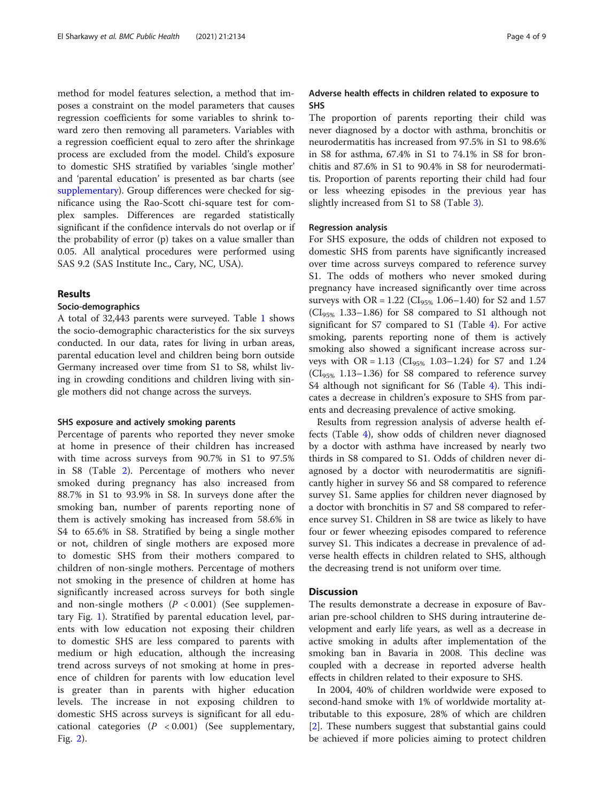method for model features selection, a method that imposes a constraint on the model parameters that causes regression coefficients for some variables to shrink toward zero then removing all parameters. Variables with a regression coefficient equal to zero after the shrinkage process are excluded from the model. Child's exposure to domestic SHS stratified by variables 'single mother' and 'parental education' is presented as bar charts (see [supplementary\)](#page-7-0). Group differences were checked for significance using the Rao-Scott chi-square test for complex samples. Differences are regarded statistically significant if the confidence intervals do not overlap or if the probability of error (p) takes on a value smaller than 0.05. All analytical procedures were performed using SAS 9.2 (SAS Institute Inc., Cary, NC, USA).

## Results

## Socio-demographics

A total of 32,443 parents were surveyed. Table [1](#page-4-0) shows the socio-demographic characteristics for the six surveys conducted. In our data, rates for living in urban areas, parental education level and children being born outside Germany increased over time from S1 to S8, whilst living in crowding conditions and children living with single mothers did not change across the surveys.

## SHS exposure and actively smoking parents

Percentage of parents who reported they never smoke at home in presence of their children has increased with time across surveys from 90.7% in S1 to 97.5% in S8 (Table [2\)](#page-5-0). Percentage of mothers who never smoked during pregnancy has also increased from 88.7% in S1 to 93.9% in S8. In surveys done after the smoking ban, number of parents reporting none of them is actively smoking has increased from 58.6% in S4 to 65.6% in S8. Stratified by being a single mother or not, children of single mothers are exposed more to domestic SHS from their mothers compared to children of non-single mothers. Percentage of mothers not smoking in the presence of children at home has significantly increased across surveys for both single and non-single mothers  $(P < 0.001)$  (See supplementary Fig. [1\)](#page-7-0). Stratified by parental education level, parents with low education not exposing their children to domestic SHS are less compared to parents with medium or high education, although the increasing trend across surveys of not smoking at home in presence of children for parents with low education level is greater than in parents with higher education levels. The increase in not exposing children to domestic SHS across surveys is significant for all educational categories  $(P < 0.001)$  (See supplementary, Fig. [2\)](#page-7-0).

## Adverse health effects in children related to exposure to SHS

The proportion of parents reporting their child was never diagnosed by a doctor with asthma, bronchitis or neurodermatitis has increased from 97.5% in S1 to 98.6% in S8 for asthma, 67.4% in S1 to 74.1% in S8 for bronchitis and 87.6% in S1 to 90.4% in S8 for neurodermatitis. Proportion of parents reporting their child had four or less wheezing episodes in the previous year has slightly increased from S1 to S8 (Table [3\)](#page-5-0).

## Regression analysis

For SHS exposure, the odds of children not exposed to domestic SHS from parents have significantly increased over time across surveys compared to reference survey S1. The odds of mothers who never smoked during pregnancy have increased significantly over time across surveys with OR = 1.22 ( $CI_{95\%}$  1.06–1.40) for S2 and 1.57  $(Cl<sub>95%</sub> 1.33–1.86)$  for S8 compared to S1 although not significant for S7 compared to S1 (Table [4\)](#page-6-0). For active smoking, parents reporting none of them is actively smoking also showed a significant increase across surveys with OR =  $1.13$  (CI<sub>95%</sub> 1.03–1.24) for S7 and 1.24  $(Cl<sub>95%</sub> 1.13–1.36)$  for S8 compared to reference survey S4 although not significant for S6 (Table [4\)](#page-6-0). This indicates a decrease in children's exposure to SHS from parents and decreasing prevalence of active smoking.

Results from regression analysis of adverse health effects (Table [4\)](#page-6-0), show odds of children never diagnosed by a doctor with asthma have increased by nearly two thirds in S8 compared to S1. Odds of children never diagnosed by a doctor with neurodermatitis are significantly higher in survey S6 and S8 compared to reference survey S1. Same applies for children never diagnosed by a doctor with bronchitis in S7 and S8 compared to reference survey S1. Children in S8 are twice as likely to have four or fewer wheezing episodes compared to reference survey S1. This indicates a decrease in prevalence of adverse health effects in children related to SHS, although the decreasing trend is not uniform over time.

## **Discussion**

The results demonstrate a decrease in exposure of Bavarian pre-school children to SHS during intrauterine development and early life years, as well as a decrease in active smoking in adults after implementation of the smoking ban in Bavaria in 2008. This decline was coupled with a decrease in reported adverse health effects in children related to their exposure to SHS.

In 2004, 40% of children worldwide were exposed to second-hand smoke with 1% of worldwide mortality attributable to this exposure, 28% of which are children [[2\]](#page-7-0). These numbers suggest that substantial gains could be achieved if more policies aiming to protect children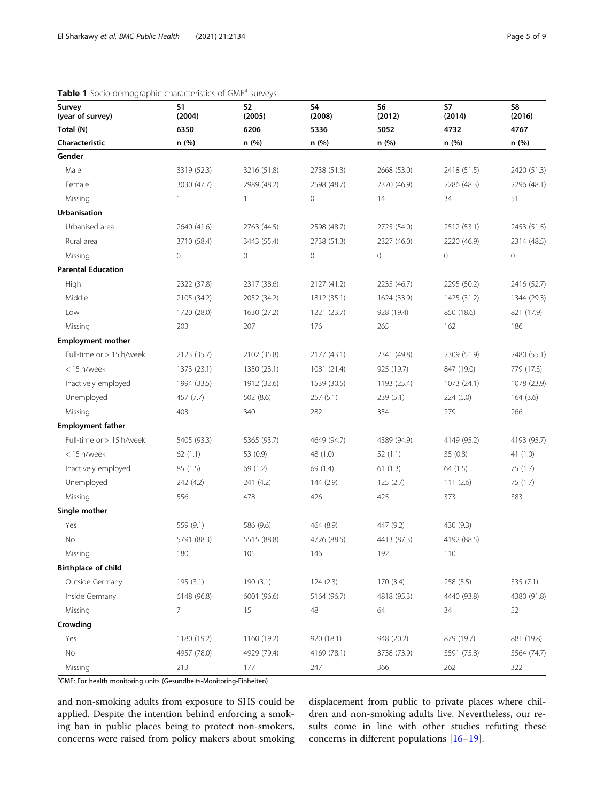| Survey<br>(year of survey) | <b>S1</b><br>(2004) | <b>S2</b><br>(2005) | S4<br>(2008)  | S6<br>(2012) | S7<br>(2014)  | S8<br>(2016)  |
|----------------------------|---------------------|---------------------|---------------|--------------|---------------|---------------|
| Total (N)                  | 6350<br>n (%)       | 6206                | 5336<br>n (%) | 5052         | 4732<br>n (%) | 4767<br>n (%) |
| Characteristic             |                     | n (%)               |               | n (%)        |               |               |
| Gender                     |                     |                     |               |              |               |               |
| Male                       | 3319 (52.3)         | 3216 (51.8)         | 2738 (51.3)   | 2668 (53.0)  | 2418 (51.5)   | 2420 (51.3)   |
| Female                     | 3030 (47.7)         | 2989 (48.2)         | 2598 (48.7)   | 2370 (46.9)  | 2286 (48.3)   | 2296 (48.1)   |
| Missing                    | $\overline{1}$      | $\mathbf{1}$        | 0             | 14           | 34            | 51            |
| <b>Urbanisation</b>        |                     |                     |               |              |               |               |
| Urbanised area             | 2640 (41.6)         | 2763 (44.5)         | 2598 (48.7)   | 2725 (54.0)  | 2512 (53.1)   | 2453 (51.5)   |
| Rural area                 | 3710 (58.4)         | 3443 (55.4)         | 2738 (51.3)   | 2327 (46.0)  | 2220 (46.9)   | 2314 (48.5)   |
| Missing                    | $\mathbf 0$         | 0                   | 0             | $\mathbf 0$  | $\mathbf 0$   | $\mathbf 0$   |
| <b>Parental Education</b>  |                     |                     |               |              |               |               |
| High                       | 2322 (37.8)         | 2317 (38.6)         | 2127 (41.2)   | 2235 (46.7)  | 2295 (50.2)   | 2416 (52.7)   |
| Middle                     | 2105 (34.2)         | 2052 (34.2)         | 1812 (35.1)   | 1624 (33.9)  | 1425 (31.2)   | 1344 (29.3)   |
| Low                        | 1720 (28.0)         | 1630 (27.2)         | 1221 (23.7)   | 928 (19.4)   | 850 (18.6)    | 821 (17.9)    |
| Missing                    | 203                 | 207                 | 176           | 265          | 162           | 186           |
| <b>Employment mother</b>   |                     |                     |               |              |               |               |
| Full-time or > 15 h/week   | 2123 (35.7)         | 2102 (35.8)         | 2177 (43.1)   | 2341 (49.8)  | 2309 (51.9)   | 2480 (55.1)   |
| < 15 h/week                | 1373 (23.1)         | 1350 (23.1)         | 1081 (21.4)   | 925 (19.7)   | 847 (19.0)    | 779 (17.3)    |
| Inactively employed        | 1994 (33.5)         | 1912 (32.6)         | 1539 (30.5)   | 1193 (25.4)  | 1073 (24.1)   | 1078 (23.9)   |
| Unemployed                 | 457 (7.7)           | 502 (8.6)           | 257(5.1)      | 239(5.1)     | 224(5.0)      | 164(3.6)      |
| Missing                    | 403                 | 340                 | 282           | 354          | 279           | 266           |
| <b>Employment father</b>   |                     |                     |               |              |               |               |
| Full-time or > 15 h/week   | 5405 (93.3)         | 5365 (93.7)         | 4649 (94.7)   | 4389 (94.9)  | 4149 (95.2)   | 4193 (95.7)   |
| < 15 h/week                | 62(1.1)             | 53 (0.9)            | 48 (1.0)      | 52(1.1)      | 35(0.8)       | 41 (1.0)      |
| Inactively employed        | 85(1.5)             | 69 (1.2)            | 69 (1.4)      | 61(1.3)      | 64 (1.5)      | 75 (1.7)      |
| Unemployed                 | 242 (4.2)           | 241 (4.2)           | 144(2.9)      | 125(2.7)     | 111(2.6)      | 75 (1.7)      |
| Missing                    | 556                 | 478                 | 426           | 425          | 373           | 383           |
| Single mother              |                     |                     |               |              |               |               |
| Yes                        | 559 (9.1)           | 586 (9.6)           | 464 (8.9)     | 447 (9.2)    | 430 (9.3)     |               |
| No                         | 5791 (88.3)         | 5515 (88.8)         | 4726 (88.5)   | 4413 (87.3)  | 4192 (88.5)   |               |
| Missing                    | 180                 | 105                 | 146           | 192          | 110           |               |
| Birthplace of child        |                     |                     |               |              |               |               |
| Outside Germany            | 195(3.1)            | 190(3.1)            | 124(2.3)      | 170(3.4)     | 258 (5.5)     | 335 (7.1)     |
| Inside Germany             | 6148 (96.8)         | 6001 (96.6)         | 5164 (96.7)   | 4818 (95.3)  | 4440 (93.8)   | 4380 (91.8)   |
| Missing                    | $\overline{7}$      | 15                  | 48            | 64           | 34            | 52            |
| Crowding                   |                     |                     |               |              |               |               |
| Yes                        | 1180 (19.2)         | 1160 (19.2)         | 920 (18.1)    | 948 (20.2)   | 879 (19.7)    | 881 (19.8)    |
| No                         | 4957 (78.0)         | 4929 (79.4)         | 4169 (78.1)   | 3738 (73.9)  | 3591 (75.8)   | 3564 (74.7)   |
| Missing                    | 213                 | 177                 | 247           | 366          | 262           | 322           |

## <span id="page-4-0"></span>Table 1 Socio-demographic characteristics of GME<sup>a</sup> surveys

<sup>a</sup>GME: For health monitoring units (Gesundheits-Monitoring-Einheiten)

and non-smoking adults from exposure to SHS could be applied. Despite the intention behind enforcing a smoking ban in public places being to protect non-smokers, concerns were raised from policy makers about smoking displacement from public to private places where children and non-smoking adults live. Nevertheless, our results come in line with other studies refuting these concerns in different populations [[16](#page-8-0)–[19](#page-8-0)].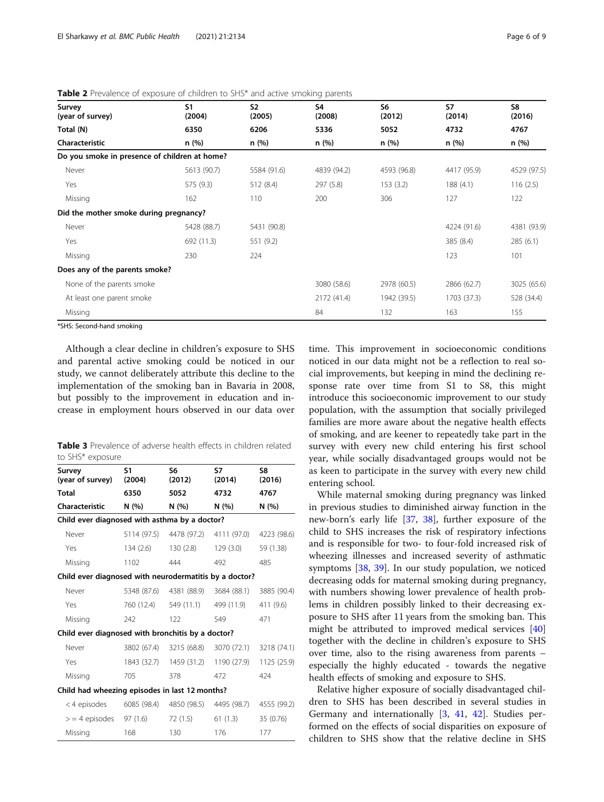| Survey<br>(year of survey)                    | S <sub>1</sub><br>(2004) | S <sub>2</sub><br>(2005) | S <sub>4</sub><br>(2008) | S6<br>(2012) | S7<br>(2014) | S8<br>(2016) |
|-----------------------------------------------|--------------------------|--------------------------|--------------------------|--------------|--------------|--------------|
| Total (N)                                     | 6350                     | 6206                     | 5336                     | 5052         | 4732         | 4767         |
| Characteristic                                | n (%)                    | n (%)                    | n (%)                    | n (%)        | n (%)        | n (%)        |
| Do you smoke in presence of children at home? |                          |                          |                          |              |              |              |
| Never                                         | 5613 (90.7)              | 5584 (91.6)              | 4839 (94.2)              | 4593 (96.8)  | 4417 (95.9)  | 4529 (97.5)  |
| Yes                                           | 575 (9.3)                | 512 (8.4)                | 297 (5.8)                | 153(3.2)     | 188(4.1)     | 116(2.5)     |
| Missing                                       | 162                      | 110                      | 200                      | 306          | 127          | 122          |
| Did the mother smoke during pregnancy?        |                          |                          |                          |              |              |              |
| Never                                         | 5428 (88.7)              | 5431 (90.8)              |                          |              | 4224 (91.6)  | 4381 (93.9)  |
| Yes                                           | 692 (11.3)               | 551 (9.2)                |                          |              | 385 (8.4)    | 285(6.1)     |
| Missing                                       | 230                      | 224                      |                          |              | 123          | 101          |
| Does any of the parents smoke?                |                          |                          |                          |              |              |              |
| None of the parents smoke                     |                          |                          | 3080 (58.6)              | 2978 (60.5)  | 2866 (62.7)  | 3025 (65.6)  |
| At least one parent smoke                     |                          |                          | 2172 (41.4)              | 1942 (39.5)  | 1703 (37.3)  | 528 (34.4)   |
| Missing                                       |                          |                          | 84                       | 132          | 163          | 155          |

<span id="page-5-0"></span>Table 2 Prevalence of exposure of children to SHS\* and active smoking parents

\*SHS: Second-hand smoking

Although a clear decline in children's exposure to SHS and parental active smoking could be noticed in our study, we cannot deliberately attribute this decline to the implementation of the smoking ban in Bavaria in 2008, but possibly to the improvement in education and increase in employment hours observed in our data over

**Table 3** Prevalence of adverse health effects in children related to SHS\* exposure

| Survey<br>(year of survey)                             | S1<br>(2004) | S6<br>(2012)                        | S7<br>(2014)            | S8<br>(2016) |  |  |  |
|--------------------------------------------------------|--------------|-------------------------------------|-------------------------|--------------|--|--|--|
| Total                                                  | 6350         | 5052                                | 4732                    | 4767         |  |  |  |
| Characteristic                                         | N(%)         | N (%)                               | N (%)                   | N (%)        |  |  |  |
| Child ever diagnosed with asthma by a doctor?          |              |                                     |                         |              |  |  |  |
| Never                                                  |              | 5114 (97.5) 4478 (97.2) 4111 (97.0) |                         | 4223 (98.6)  |  |  |  |
| Yes                                                    | 134 (2.6)    | 130 (2.8)                           | 129(3.0)                | 59 (1.38)    |  |  |  |
| Missing                                                | 1102         | 444                                 | 492                     | 485          |  |  |  |
| Child ever diagnosed with neurodermatitis by a doctor? |              |                                     |                         |              |  |  |  |
| Never                                                  | 5348 (87.6)  |                                     | 4381 (88.9) 3684 (88.1) | 3885 (90.4)  |  |  |  |
| Yes                                                    | 760 (12.4)   | 549 (11.1)                          | 499 (11.9)              | 411 (9.6)    |  |  |  |
| Missing                                                | 242          | 122                                 | 549                     | 471          |  |  |  |
| Child ever diagnosed with bronchitis by a doctor?      |              |                                     |                         |              |  |  |  |
| Never                                                  |              | 3802 (67.4) 3215 (68.8) 3070 (72.1) |                         | 3218 (74.1)  |  |  |  |
| Yes                                                    |              | 1843 (32.7) 1459 (31.2)             | 1190 (27.9)             | 1125 (25.9)  |  |  |  |
| Missing                                                | 705          | 378                                 | 472                     | 424          |  |  |  |
| Child had wheezing episodes in last 12 months?         |              |                                     |                         |              |  |  |  |
| < 4 episodes                                           |              | 6085 (98.4) 4850 (98.5)             | 4495 (98.7)             | 4555 (99.2)  |  |  |  |
| $>$ = 4 episodes 97 (1.6)                              |              | 72 (1.5)                            | 61 (1.3)                | 35 (0.76)    |  |  |  |
| Missing                                                | 168          | 130                                 | 176                     | 177          |  |  |  |

time. This improvement in socioeconomic conditions noticed in our data might not be a reflection to real social improvements, but keeping in mind the declining response rate over time from S1 to S8, this might introduce this socioeconomic improvement to our study population, with the assumption that socially privileged families are more aware about the negative health effects of smoking, and are keener to repeatedly take part in the survey with every new child entering his first school year, while socially disadvantaged groups would not be as keen to participate in the survey with every new child entering school.

While maternal smoking during pregnancy was linked in previous studies to diminished airway function in the new-born's early life [\[37](#page-8-0), [38](#page-8-0)], further exposure of the child to SHS increases the risk of respiratory infections and is responsible for two- to four-fold increased risk of wheezing illnesses and increased severity of asthmatic symptoms [\[38](#page-8-0), [39\]](#page-8-0). In our study population, we noticed decreasing odds for maternal smoking during pregnancy, with numbers showing lower prevalence of health problems in children possibly linked to their decreasing exposure to SHS after 11 years from the smoking ban. This might be attributed to improved medical services [[40](#page-8-0)] together with the decline in children's exposure to SHS over time, also to the rising awareness from parents – especially the highly educated - towards the negative health effects of smoking and exposure to SHS.

Relative higher exposure of socially disadvantaged children to SHS has been described in several studies in Germany and internationally [\[3](#page-7-0), [41,](#page-8-0) [42\]](#page-8-0). Studies performed on the effects of social disparities on exposure of children to SHS show that the relative decline in SHS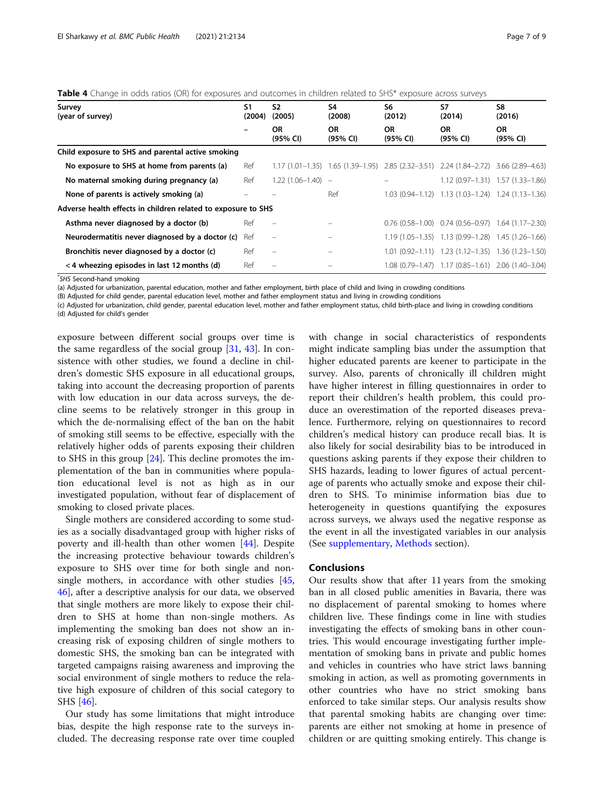| Survey<br>(year of survey)                                    | S1<br>(2004) | S <sub>2</sub><br>(2005) | S4<br>(2008)          | S6<br>(2012)                                                        | S7<br>(2014)                                                   | S8<br>(2016)                        |
|---------------------------------------------------------------|--------------|--------------------------|-----------------------|---------------------------------------------------------------------|----------------------------------------------------------------|-------------------------------------|
|                                                               |              | <b>OR</b><br>(95% CI)    | <b>OR</b><br>(95% CI) | <b>OR</b><br>(95% CI)                                               | OR.<br>(95% CI)                                                | <b>OR</b><br>(95% CI)               |
| Child exposure to SHS and parental active smoking             |              |                          |                       |                                                                     |                                                                |                                     |
| No exposure to SHS at home from parents (a)                   | Ref          | $1.17(1.01-1.35)$        |                       | 1.65 (1.39–1.95) 2.85 (2.32–3.51) 2.24 (1.84–2.72) 3.66 (2.89–4.63) |                                                                |                                     |
| No maternal smoking during pregnancy (a)                      | Ref          | $1.22(1.06-1.40) -$      |                       |                                                                     |                                                                | $1.12(0.97-1.31)$ $1.57(1.33-1.86)$ |
| None of parents is actively smoking (a)                       |              |                          | Ref                   |                                                                     | 1.03 (0.94-1.12) 1.13 (1.03-1.24) 1.24 (1.13-1.36)             |                                     |
| Adverse health effects in children related to exposure to SHS |              |                          |                       |                                                                     |                                                                |                                     |
| Asthma never diagnosed by a doctor (b)                        | Ref          |                          |                       |                                                                     | $0.76$ (0.58-1.00) $0.74$ (0.56-0.97) 1.64 (1.17-2.30)         |                                     |
| Neurodermatitis never diagnosed by a doctor (c)               | Ref          | $\qquad \qquad =$        |                       |                                                                     | $1.19(1.05-1.35)$ $1.13(0.99-1.28)$ $1.45(1.26-1.66)$          |                                     |
| Bronchitis never diagnosed by a doctor (c)                    | Ref          | $\qquad \qquad -$        |                       |                                                                     | $1.01$ $(0.92-1.11)$ $1.23$ $(1.12-1.35)$ $1.36$ $(1.23-1.50)$ |                                     |
| $<$ 4 wheezing episodes in last 12 months (d)                 | Ref          |                          |                       |                                                                     | 1.08 (0.79-1.47) 1.17 (0.85-1.61) 2.06 (1.40-3.04)             |                                     |

<span id="page-6-0"></span>Table 4 Change in odds ratios (OR) for exposures and outcomes in children related to SHS\* exposure across surveys

\* SHS Second-hand smoking

(a) Adjusted for urbanization, parental education, mother and father employment, birth place of child and living in crowding conditions

(B) Adjusted for child gender, parental education level, mother and father employment status and living in crowding conditions

(c) Adjusted for urbanization, child gender, parental education level, mother and father employment status, child birth-place and living in crowding conditions

(d) Adjusted for child's gender

exposure between different social groups over time is the same regardless of the social group [[31,](#page-8-0) [43](#page-8-0)]. In consistence with other studies, we found a decline in children's domestic SHS exposure in all educational groups, taking into account the decreasing proportion of parents with low education in our data across surveys, the decline seems to be relatively stronger in this group in which the de-normalising effect of the ban on the habit of smoking still seems to be effective, especially with the relatively higher odds of parents exposing their children to SHS in this group [[24](#page-8-0)]. This decline promotes the implementation of the ban in communities where population educational level is not as high as in our investigated population, without fear of displacement of smoking to closed private places.

Single mothers are considered according to some studies as a socially disadvantaged group with higher risks of poverty and ill-health than other women [\[44\]](#page-8-0). Despite the increasing protective behaviour towards children's exposure to SHS over time for both single and nonsingle mothers, in accordance with other studies [[45](#page-8-0), [46\]](#page-8-0), after a descriptive analysis for our data, we observed that single mothers are more likely to expose their children to SHS at home than non-single mothers. As implementing the smoking ban does not show an increasing risk of exposing children of single mothers to domestic SHS, the smoking ban can be integrated with targeted campaigns raising awareness and improving the social environment of single mothers to reduce the relative high exposure of children of this social category to SHS [\[46](#page-8-0)].

Our study has some limitations that might introduce bias, despite the high response rate to the surveys included. The decreasing response rate over time coupled with change in social characteristics of respondents might indicate sampling bias under the assumption that higher educated parents are keener to participate in the survey. Also, parents of chronically ill children might have higher interest in filling questionnaires in order to report their children's health problem, this could produce an overestimation of the reported diseases prevalence. Furthermore, relying on questionnaires to record children's medical history can produce recall bias. It is also likely for social desirability bias to be introduced in questions asking parents if they expose their children to SHS hazards, leading to lower figures of actual percentage of parents who actually smoke and expose their children to SHS. To minimise information bias due to heterogeneity in questions quantifying the exposures across surveys, we always used the negative response as the event in all the investigated variables in our analysis (See [supplementary,](#page-7-0) [Methods](#page-1-0) section).

## Conclusions

Our results show that after 11 years from the smoking ban in all closed public amenities in Bavaria, there was no displacement of parental smoking to homes where children live. These findings come in line with studies investigating the effects of smoking bans in other countries. This would encourage investigating further implementation of smoking bans in private and public homes and vehicles in countries who have strict laws banning smoking in action, as well as promoting governments in other countries who have no strict smoking bans enforced to take similar steps. Our analysis results show that parental smoking habits are changing over time: parents are either not smoking at home in presence of children or are quitting smoking entirely. This change is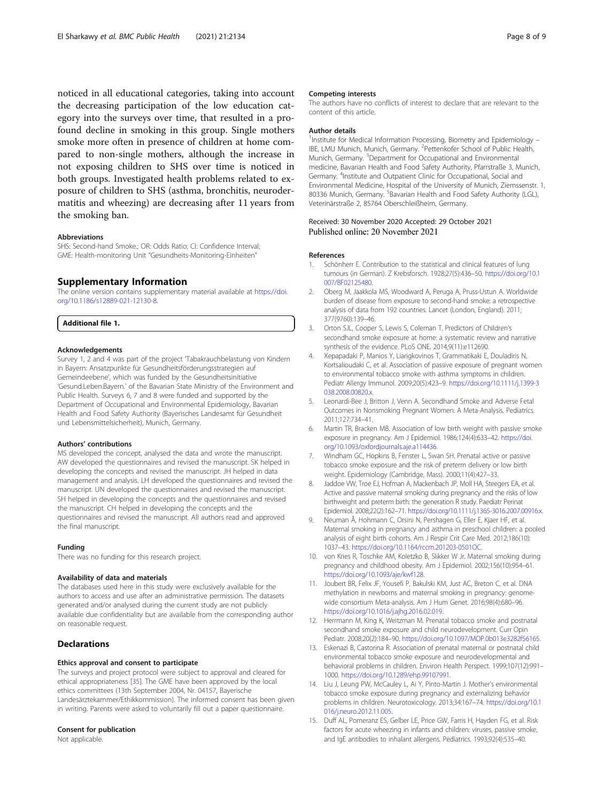<span id="page-7-0"></span>noticed in all educational categories, taking into account the decreasing participation of the low education category into the surveys over time, that resulted in a profound decline in smoking in this group. Single mothers smoke more often in presence of children at home compared to non-single mothers, although the increase in not exposing children to SHS over time is noticed in both groups. Investigated health problems related to exposure of children to SHS (asthma, bronchitis, neurodermatitis and wheezing) are decreasing after 11 years from the smoking ban.

#### Abbreviations

SHS: Second-hand Smoke.; OR: Odds Ratio; CI: Confidence Interval; GME: Health-monitoring Unit "Gesundheits-Monitoring-Einheiten"

#### Supplementary Information

The online version contains supplementary material available at [https://doi.](https://doi.org/10.1186/s12889-021-12130-8) [org/10.1186/s12889-021-12130-8.](https://doi.org/10.1186/s12889-021-12130-8)

Additional file 1.

#### Acknowledgements

Survey 1, 2 and 4 was part of the project 'Tabakrauchbelastung von Kindern in Bayern: Ansatzpunkte für Gesundheitsförderungsstrategien auf Gemeindeebene', which was funded by the Gesundheitsinitiative 'Gesund.Leben.Bayern.' of the Bavarian State Ministry of the Environment and Public Health. Surveys 6, 7 and 8 were funded and supported by the Department of Occupational and Environmental Epidemiology, Bavarian Health and Food Safety Authority (Bayerisches Landesamt für Gesundheit und Lebensmittelsicherheit), Munich, Germany.

#### Authors' contributions

MS developed the concept, analysed the data and wrote the manuscript. AW developed the questionnaires and revised the manuscript. SK helped in developing the concepts and revised the manuscript. JH helped in data management and analysis. LH developed the questionnaires and revised the manuscript. UN developed the questionnaires and revised the manuscript. SH helped in developing the concepts and the questionnaires and revised the manuscript. CH helped in developing the concepts and the questionnaires and revised the manuscript. All authors read and approved the final manuscript.

#### Funding

There was no funding for this research project.

#### Availability of data and materials

The databases used here in this study were exclusively available for the authors to access and use after an administrative permission. The datasets generated and/or analysed during the current study are not publicly available due confidentiality but are available from the corresponding author on reasonable request.

#### **Declarations**

## Ethics approval and consent to participate

The surveys and project protocol were subject to approval and cleared for ethical appropriateness [[35\]](#page-8-0). The GME have been approved by the local ethics committees (13th September 2004, Nr. 04157, Bayerische Landesärztekammer/Ethikkommission). The informed consent has been given in writing. Parents were asked to voluntarily fill out a paper questionnaire.

## Consent for publication

Not applicable.

#### Competing interests

The authors have no conflicts of interest to declare that are relevant to the content of this article.

#### Author details

<sup>1</sup> Institute for Medical Information Processing, Biometry and Epidemiology -IBE, LMU Munich, Munich, Germany. <sup>2</sup>Pettenkofer School of Public Health Munich, Germany. <sup>3</sup>Department for Occupational and Environmental medicine, Bavarian Health and Food Safety Authority, Pfarrstraße 3, Munich, Germany. <sup>4</sup>Institute and Outpatient Clinic for Occupational, Social and Environmental Medicine, Hospital of the University of Munich, Ziemssenstr. 1, 80336 Munich, Germany. <sup>5</sup>Bavarian Health and Food Safety Authority (LGL) Veterinärstraße 2, 85764 Oberschleißheim, Germany.

## Received: 30 November 2020 Accepted: 29 October 2021 Published online: 20 November 2021

#### References

- Schönherr E. Contribution to the statistical and clinical features of lung tumours (in German). Z Krebsforsch. 1928;27(5):436–50. [https://doi.org/10.1](https://doi.org/10.1007/BF02125480) [007/BF02125480.](https://doi.org/10.1007/BF02125480)
- 2. Oberg M, Jaakkola MS, Woodward A, Peruga A, Pruss-Ustun A. Worldwide burden of disease from exposure to second-hand smoke: a retrospective analysis of data from 192 countries. Lancet (London, England). 2011; 377(9760):139–46.
- 3. Orton SJL, Cooper S, Lewis S, Coleman T. Predictors of Children's secondhand smoke exposure at home: a systematic review and narrative synthesis of the evidence. PLoS ONE. 2014;9(11):e112690.
- 4. Xepapadaki P, Manios Y, Liarigkovinos T, Grammatikaki E, Douladiris N, Kortsalioudaki C, et al. Association of passive exposure of pregnant women to environmental tobacco smoke with asthma symptoms in children. Pediatr Allergy Immunol. 2009;20(5):423–9. [https://doi.org/10.1111/j.1399-3](https://doi.org/10.1111/j.1399-3038.2008.00820.x) [038.2008.00820.x](https://doi.org/10.1111/j.1399-3038.2008.00820.x).
- 5. Leonardi-Bee J, Britton J, Venn A. Secondhand Smoke and Adverse Fetal Outcomes in Nonsmoking Pregnant Women: A Meta-Analysis. Pediatrics. 2011;127:734–41.
- 6. Martin TR, Bracken MB. Association of low birth weight with passive smoke exposure in pregnancy. Am J Epidemiol. 1986;124(4):633–42. [https://doi.](https://doi.org/10.1093/oxfordjournals.aje.a114436) [org/10.1093/oxfordjournals.aje.a114436.](https://doi.org/10.1093/oxfordjournals.aje.a114436)
- 7. Windham GC, Hopkins B, Fenster L, Swan SH. Prenatal active or passive tobacco smoke exposure and the risk of preterm delivery or low birth weight. Epidemiology (Cambridge, Mass). 2000;11(4):427–33.
- 8. Jaddoe VW, Troe EJ, Hofman A, Mackenbach JP, Moll HA, Steegers EA, et al. Active and passive maternal smoking during pregnancy and the risks of low birthweight and preterm birth: the generation R study. Paediatr Perinat Epidemiol. 2008;22(2):162–71. [https://doi.org/10.1111/j.1365-3016.2007.00916.x.](https://doi.org/10.1111/j.1365-3016.2007.00916.x)
- 9. Neuman Å, Hohmann C, Orsini N, Pershagen G, Eller E, Kjaer HF, et al. Maternal smoking in pregnancy and asthma in preschool children: a pooled analysis of eight birth cohorts. Am J Respir Crit Care Med. 2012;186(10): 1037–43. [https://doi.org/10.1164/rccm.201203-0501OC.](https://doi.org/10.1164/rccm.201203-0501OC)
- 10. von Kries R, Toschke AM, Koletzko B, Slikker W Jr. Maternal smoking during pregnancy and childhood obesity. Am J Epidemiol. 2002;156(10):954–61. [https://doi.org/10.1093/aje/kwf128.](https://doi.org/10.1093/aje/kwf128)
- 11. Joubert BR, Felix JF, Yousefi P, Bakulski KM, Just AC, Breton C, et al. DNA methylation in newborns and maternal smoking in pregnancy: genomewide consortium Meta-analysis. Am J Hum Genet. 2016;98(4):680–96. <https://doi.org/10.1016/j.ajhg.2016.02.019>.
- 12. Herrmann M, King K, Weitzman M. Prenatal tobacco smoke and postnatal secondhand smoke exposure and child neurodevelopment. Curr Opin Pediatr. 2008;20(2):184–90. <https://doi.org/10.1097/MOP.0b013e3282f56165>.
- 13. Eskenazi B, Castorina R. Association of prenatal maternal or postnatal child environmental tobacco smoke exposure and neurodevelopmental and behavioral problems in children. Environ Health Perspect. 1999;107(12):991– 1000. <https://doi.org/10.1289/ehp.99107991>.
- 14. Liu J, Leung PW, McCauley L, Ai Y, Pinto-Martin J. Mother's environmental tobacco smoke exposure during pregnancy and externalizing behavior problems in children. Neurotoxicology. 2013;34:167–74. [https://doi.org/10.1](https://doi.org/10.1016/j.neuro.2012.11.005) [016/j.neuro.2012.11.005](https://doi.org/10.1016/j.neuro.2012.11.005).
- 15. Duff AL, Pomeranz ES, Gelber LE, Price GW, Farris H, Hayden FG, et al. Risk factors for acute wheezing in infants and children: viruses, passive smoke, and IgE antibodies to inhalant allergens. Pediatrics. 1993;92(4):535–40.